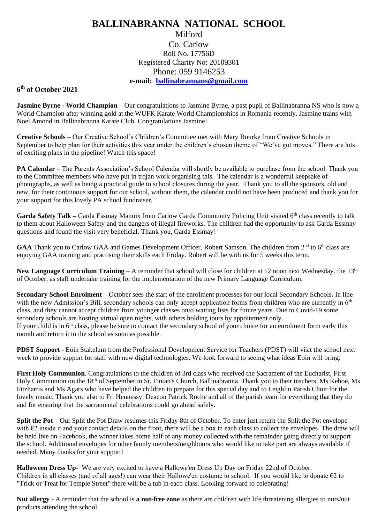## **BALLINABRANNA NATIONAL SCHOOL** Milford Co. Carlow Roll No. 17756D Registered Charity No: 20109301 Phone: 059 9146253

## **e-mail: [ballinabrannans@gmail.com](mailto:ballinabrannans@gmail.com)**

## **6 th of October 2021**

**Jasmine Byrne - World Champion –** Our congratulations to Jasmine Byrne, a past pupil of Ballinabranna NS who is now a World Champion after winning gold at the WUFK Karate World Championships in Romania recently. Jasmine trains with Noel Amond in Ballinabranna Karate Club. Congratulations Jasmine!

**Creative Schools** – Our Creative School's Children's Committee met with Mary Bourke from Creative Schools in September to help plan for their activities this year under the children's chosen theme of "We've got moves." There are lots of exciting plans in the pipeline! Watch this space!

**PA Calendar –** The Parents Association's School Calendar will shortly be available to purchase from the school. Thank you to the Committee members who have put in trojan work organising this. The calendar is a wonderful keepsake of photographs, as well as being a practical guide to school closures during the year. Thank you to all the sponsors, old and new, for their continuous support for our school, without them, the calendar could not have been produced and thank you for your support for this lovely PA school fundraiser.

Garda Safety Talk – Garda Essmay Mannix from Carlow Garda Community Policing Unit visited 6<sup>th</sup> class recently to talk to them about Halloween Safety and the dangers of illegal fireworks. The children had the opportunity to ask Garda Essmay questions and found the visit very beneficial. Thank you, Garda Essmay!

GAA Thank you to Carlow GAA and Games Development Officer, Robert Samson. The children from 2<sup>nd</sup> to 6<sup>th</sup> class are enjoying GAA training and practising their skills each Friday. Robert will be with us for 5 weeks this term.

**New Language Curriculum Training – A** reminder that school will close for children at 12 noon next Wednesday, the 13<sup>th</sup> of October, as staff undertake training for the implementation of the new Primary Language Curriculum.

**Secondary School Enrolment –** October sees the start of the enrolment processes for our local Secondary Schools**.** In line with the new Admission's Bill, secondary schools can only accept application forms from children who are currently in 6<sup>th</sup> class, and they cannot accept children from younger classes onto waiting lists for future years. Due to Covid-19 some secondary schools are hosting virtual open nights, with others holding tours by appointment only. If your child is in  $6<sup>th</sup>$  class, please be sure to contact the secondary school of your choice for an enrolment form early this month and return it to the school as soon as possible.

**PDST Support -** Eoin Stakelum from the Professional Development Service for Teachers (PDST) will visit the school next week to provide support for staff with new digital technologies. We look forward to seeing what ideas Eoin will bring.

**First Holy Communion**. Congratulations to the children of 3rd class who received the Sacrament of the Eucharist, First Holy Communion on the 18<sup>th</sup> of September in St. Fintan's Church, Ballinabranna. Thank you to their teachers, Ms Kehoe, Ms Fitzharris and Ms Agars who have helped the children to prepare for this special day and to Leighlin Parish Choir for the lovely music. Thank you also to Fr. Hennessy, Deacon Patrick Roche and all of the parish team for everything that they do and for ensuring that the sacramental celebrations could go ahead safely.

**Split the Pot** – Our Split the Pot Draw resumes this Friday 8th of October. To enter just return the Split the Pot envelope with €2 inside it and your contact details on the front, there will be a box in each class to collect the envelopes. The draw will be held live on Facebook, the winner takes home half of any money collected with the remainder going directly to support the school. Additional envelopes for other family members/neighbours who would like to take part are always available if needed. Many thanks for your support!

**Halloween Dress Up-** We are very excited to have a Hallowe'en Dress Up Day on Friday 22nd of October. Children in all classes (and of all ages!) can wear their Hallowe'en costume to school. If you would like to donate  $\epsilon_2$  to "Trick or Treat for Temple Street" there will be a tub in each class. Looking forward to celebrating!

**Nut allergy -** A reminder that the school is **a nut-free zone** as there are children with life threatening allergies to nuts/nut products attending the school.